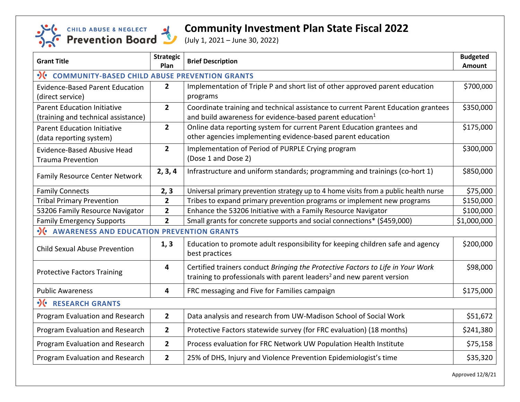

## **Community Investment Plan State Fiscal 2022**

(July 1, 2021 – June 30, 2022)

| <b>Grant Title</b>                                              | <b>Strategic</b><br>Plan | <b>Brief Description</b>                                                                                                                                             | <b>Budgeted</b><br><b>Amount</b> |  |
|-----------------------------------------------------------------|--------------------------|----------------------------------------------------------------------------------------------------------------------------------------------------------------------|----------------------------------|--|
| $\cdot$<br><b>COMMUNITY-BASED CHILD ABUSE PREVENTION GRANTS</b> |                          |                                                                                                                                                                      |                                  |  |
| <b>Evidence-Based Parent Education</b>                          | $\overline{2}$           | Implementation of Triple P and short list of other approved parent education                                                                                         | \$700,000                        |  |
| (direct service)                                                |                          | programs                                                                                                                                                             |                                  |  |
| <b>Parent Education Initiative</b>                              | $\overline{2}$           | Coordinate training and technical assistance to current Parent Education grantees                                                                                    | \$350,000                        |  |
| (training and technical assistance)                             |                          | and build awareness for evidence-based parent education <sup>1</sup>                                                                                                 |                                  |  |
| <b>Parent Education Initiative</b>                              | $\overline{2}$           | Online data reporting system for current Parent Education grantees and                                                                                               | \$175,000                        |  |
| (data reporting system)                                         |                          | other agencies implementing evidence-based parent education                                                                                                          |                                  |  |
| <b>Evidence-Based Abusive Head</b>                              | $\overline{2}$           | Implementation of Period of PURPLE Crying program                                                                                                                    | \$300,000                        |  |
| <b>Trauma Prevention</b>                                        |                          | (Dose 1 and Dose 2)                                                                                                                                                  |                                  |  |
| <b>Family Resource Center Network</b>                           | 2, 3, 4                  | Infrastructure and uniform standards; programming and trainings (co-hort 1)                                                                                          | \$850,000                        |  |
| <b>Family Connects</b>                                          | 2, 3                     | Universal primary prevention strategy up to 4 home visits from a public health nurse                                                                                 | \$75,000                         |  |
| <b>Tribal Primary Prevention</b>                                | $\overline{2}$           | Tribes to expand primary prevention programs or implement new programs                                                                                               | \$150,000                        |  |
| 53206 Family Resource Navigator                                 | $\overline{2}$           | Enhance the 53206 Initiative with a Family Resource Navigator                                                                                                        | \$100,000                        |  |
| <b>Family Emergency Supports</b>                                | $\overline{2}$           | Small grants for concrete supports and social connections* (\$459,000)                                                                                               | \$1,000,000                      |  |
| • AWARENESS AND EDUCATION PREVENTION GRANTS                     |                          |                                                                                                                                                                      |                                  |  |
| <b>Child Sexual Abuse Prevention</b>                            | 1, 3                     | Education to promote adult responsibility for keeping children safe and agency<br>best practices                                                                     | \$200,000                        |  |
| <b>Protective Factors Training</b>                              | 4                        | Certified trainers conduct Bringing the Protective Factors to Life in Your Work<br>training to professionals with parent leaders <sup>2</sup> and new parent version | \$98,000                         |  |
| <b>Public Awareness</b>                                         | 4                        | FRC messaging and Five for Families campaign                                                                                                                         | \$175,000                        |  |
| OC RESEARCH GRANTS                                              |                          |                                                                                                                                                                      |                                  |  |
| Program Evaluation and Research                                 | $\overline{2}$           | Data analysis and research from UW-Madison School of Social Work                                                                                                     | \$51,672                         |  |
| Program Evaluation and Research                                 | $\overline{2}$           | Protective Factors statewide survey (for FRC evaluation) (18 months)                                                                                                 | \$241,380                        |  |
| Program Evaluation and Research                                 | $\overline{2}$           | Process evaluation for FRC Network UW Population Health Institute                                                                                                    | \$75,158                         |  |
| Program Evaluation and Research                                 | $\overline{2}$           | 25% of DHS, Injury and Violence Prevention Epidemiologist's time                                                                                                     | \$35,320                         |  |

Approved 12/8/21